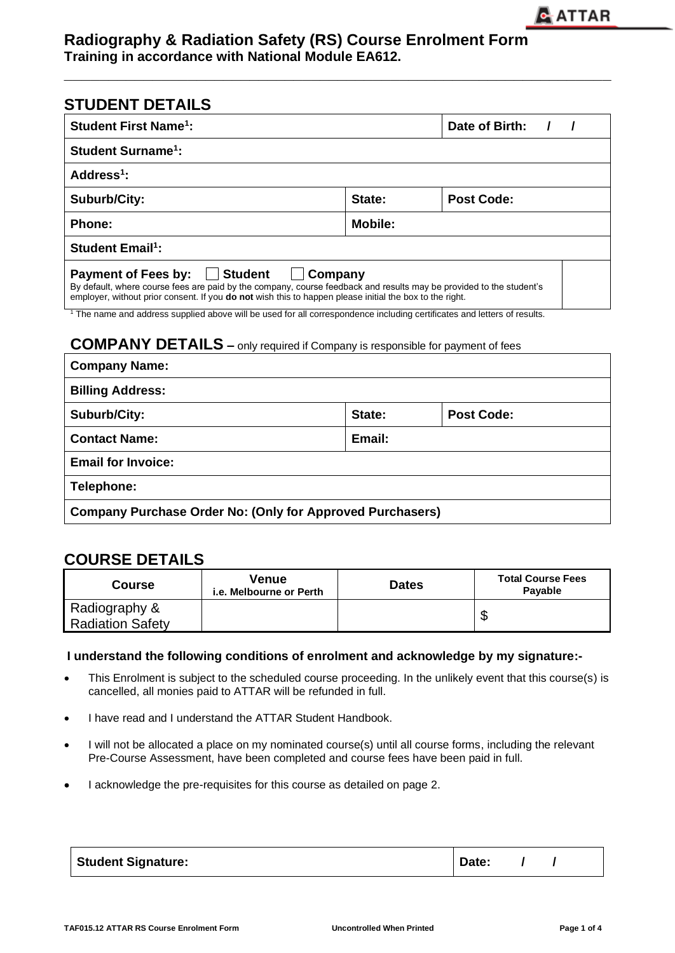

# **Radiography & Radiation Safety (RS) Course Enrolment Form Training in accordance with National Module EA612.**

## **STUDENT DETAILS**

| <b>Student First Name<sup>1</sup>:</b>                                                                                                                                                                                                                                                                                                                                                                                  |         | Date of Birth:    |  |  |
|-------------------------------------------------------------------------------------------------------------------------------------------------------------------------------------------------------------------------------------------------------------------------------------------------------------------------------------------------------------------------------------------------------------------------|---------|-------------------|--|--|
| Student Surname <sup>1</sup> :                                                                                                                                                                                                                                                                                                                                                                                          |         |                   |  |  |
| Address <sup>1</sup> :                                                                                                                                                                                                                                                                                                                                                                                                  |         |                   |  |  |
| Suburb/City:                                                                                                                                                                                                                                                                                                                                                                                                            | State:  | <b>Post Code:</b> |  |  |
| <b>Phone:</b>                                                                                                                                                                                                                                                                                                                                                                                                           | Mobile: |                   |  |  |
| Student Email <sup>1</sup> :                                                                                                                                                                                                                                                                                                                                                                                            |         |                   |  |  |
| Payment of Fees by:   Student<br>Company<br>By default, where course fees are paid by the company, course feedback and results may be provided to the student's<br>employer, without prior consent. If you <b>do not</b> wish this to happen please initial the box to the right.<br><sup>1</sup> The name and address supplied above will be used for all correspondence including cortificates and letters of results |         |                   |  |  |

**\_\_\_\_\_\_\_\_\_\_\_\_\_\_\_\_\_\_\_\_\_\_\_\_\_\_\_\_\_\_\_\_\_\_\_\_\_\_\_\_\_\_\_\_\_\_\_\_\_\_\_\_\_\_\_\_\_\_\_\_\_\_**

<sup>1</sup> The name and address supplied above will be used for all correspondence including certificates and letters of results.

# **COMPANY DETAILS –** only required if Company is responsible for payment of fees

| <b>Company Name:</b>                                             |        |                   |  |
|------------------------------------------------------------------|--------|-------------------|--|
| <b>Billing Address:</b>                                          |        |                   |  |
| Suburb/City:                                                     | State: | <b>Post Code:</b> |  |
| <b>Contact Name:</b><br>Email:                                   |        |                   |  |
| <b>Email for Invoice:</b>                                        |        |                   |  |
| Telephone:                                                       |        |                   |  |
| <b>Company Purchase Order No: (Only for Approved Purchasers)</b> |        |                   |  |

# **COURSE DETAILS**

| Course                                   | Venue<br>i.e. Melbourne or Perth | <b>Dates</b> | <b>Total Course Fees</b><br><b>Pavable</b> |
|------------------------------------------|----------------------------------|--------------|--------------------------------------------|
| Radiography &<br><b>Radiation Safety</b> |                                  |              |                                            |

### **I understand the following conditions of enrolment and acknowledge by my signature:-**

- This Enrolment is subject to the scheduled course proceeding. In the unlikely event that this course(s) is cancelled, all monies paid to ATTAR will be refunded in full.
- I have read and I understand the ATTAR Student Handbook.
- I will not be allocated a place on my nominated course(s) until all course forms, including the relevant Pre-Course Assessment, have been completed and course fees have been paid in full.
- I acknowledge the pre-requisites for this course as detailed on page 2.

| Student Signature: | Date: |
|--------------------|-------|
|--------------------|-------|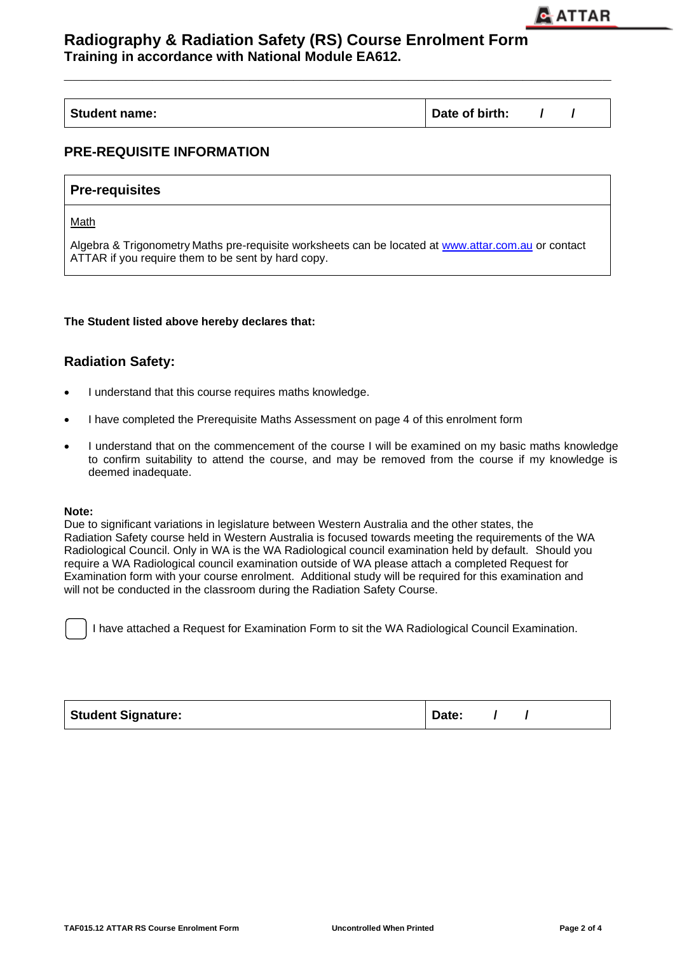

## **Radiography & Radiation Safety (RS) Course Enrolment Form Training in accordance with National Module EA612.**

| <b>Student name:</b> | Date of birth: |  |
|----------------------|----------------|--|
|----------------------|----------------|--|

**\_\_\_\_\_\_\_\_\_\_\_\_\_\_\_\_\_\_\_\_\_\_\_\_\_\_\_\_\_\_\_\_\_\_\_\_\_\_\_\_\_\_\_\_\_\_\_\_\_\_\_\_\_\_\_\_\_\_\_\_\_\_**

## **PRE-REQUISITE INFORMATION**

| <b>Pre-requisites</b> |  |  |
|-----------------------|--|--|
| <u>Math</u>           |  |  |

Algebra & Trigonometry Maths pre-requisite worksheets can be located at [www.attar.com.au](http://www.attar.com.au/) or contact ATTAR if you require them to be sent by hard copy.

#### **The Student listed above hereby declares that:**

## **Radiation Safety:**

- I understand that this course requires maths knowledge.
- I have completed the Prerequisite Maths Assessment on page 4 of this enrolment form
- I understand that on the commencement of the course I will be examined on my basic maths knowledge to confirm suitability to attend the course, and may be removed from the course if my knowledge is deemed inadequate.

#### **Note:**

Due to significant variations in legislature between Western Australia and the other states, the Radiation Safety course held in Western Australia is focused towards meeting the requirements of the WA Radiological Council. Only in WA is the WA Radiological council examination held by default. Should you require a WA Radiological council examination outside of WA please attach a completed Request for Examination form with your course enrolment. Additional study will be required for this examination and will not be conducted in the classroom during the Radiation Safety Course.

I have attached a Request for Examination Form to sit the WA Radiological Council Examination.

**Student Signature:**  $\begin{array}{ccc} \hline \text{Student Signature:} & \text{M} & \text{D} \\ \hline \end{array}$ 

**TAF015.12 ATTAR RS Course Enrolment Form Uncontrolled When Printed Page 2 of 4**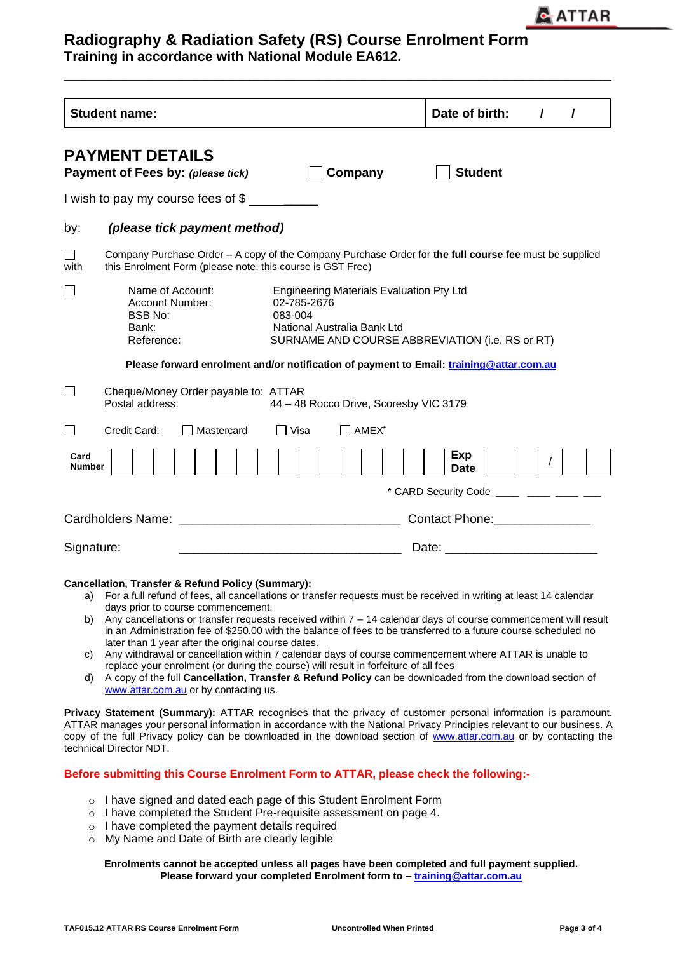

# **Radiography & Radiation Safety (RS) Course Enrolment Form**

**\_\_\_\_\_\_\_\_\_\_\_\_\_\_\_\_\_\_\_\_\_\_\_\_\_\_\_\_\_\_\_\_\_\_\_\_\_\_\_\_\_\_\_\_\_\_\_\_\_\_\_\_\_\_\_\_\_\_\_\_\_\_**

**Training in accordance with National Module EA612.**

| <b>Student name:</b>  |                                                                                     |                                                                                                                                                             | Date of birth:<br>$\prime$<br>I                                                                        |
|-----------------------|-------------------------------------------------------------------------------------|-------------------------------------------------------------------------------------------------------------------------------------------------------------|--------------------------------------------------------------------------------------------------------|
|                       | <b>PAYMENT DETAILS</b><br>Payment of Fees by: (please tick)                         | Company                                                                                                                                                     | <b>Student</b>                                                                                         |
|                       | I wish to pay my course fees of \$                                                  |                                                                                                                                                             |                                                                                                        |
| by:                   | (please tick payment method)                                                        |                                                                                                                                                             |                                                                                                        |
| with                  | this Enrolment Form (please note, this course is GST Free)                          |                                                                                                                                                             | Company Purchase Order - A copy of the Company Purchase Order for the full course fee must be supplied |
|                       | Name of Account:<br><b>Account Number:</b><br><b>BSB No:</b><br>Bank:<br>Reference: | <b>Engineering Materials Evaluation Pty Ltd</b><br>02-785-2676<br>083-004<br>National Australia Bank Ltd<br>SURNAME AND COURSE ABBREVIATION (i.e. RS or RT) |                                                                                                        |
|                       |                                                                                     | Please forward enrolment and/or notification of payment to Email: training@attar.com.au                                                                     |                                                                                                        |
|                       | Cheque/Money Order payable to: ATTAR<br>Postal address:                             | 44 - 48 Rocco Drive, Scoresby VIC 3179                                                                                                                      |                                                                                                        |
|                       | Credit Card:<br>Mastercard                                                          | ∏ Visa<br>  AMEX*                                                                                                                                           |                                                                                                        |
| Card<br><b>Number</b> |                                                                                     |                                                                                                                                                             | Exp<br>$\sqrt{2}$<br><b>Date</b>                                                                       |
|                       |                                                                                     |                                                                                                                                                             | * CARD Security Code _____ ____ ____ ____                                                              |
|                       |                                                                                     |                                                                                                                                                             | Contact Phone: 2008                                                                                    |
| Signature:            |                                                                                     |                                                                                                                                                             |                                                                                                        |

#### **Cancellation, Transfer & Refund Policy (Summary):**

- a) For a full refund of fees, all cancellations or transfer requests must be received in writing at least 14 calendar days prior to course commencement.
- b) Any cancellations or transfer requests received within  $7 14$  calendar days of course commencement will result in an Administration fee of \$250.00 with the balance of fees to be transferred to a future course scheduled no later than 1 year after the original course dates.
- c) Any withdrawal or cancellation within 7 calendar days of course commencement where ATTAR is unable to replace your enrolment (or during the course) will result in forfeiture of all fees
- d) A copy of the full **Cancellation, Transfer & Refund Policy** can be downloaded from the download section of [www.attar.com.au](http://www.attar.com.au/) or by contacting us.

**Privacy Statement (Summary):** ATTAR recognises that the privacy of customer personal information is paramount. ATTAR manages your personal information in accordance with the National Privacy Principles relevant to our business. A copy of the full Privacy policy can be downloaded in the download section of [www.attar.com.au](http://www.attar.com.au/) or by contacting the technical Director NDT.

#### **Before submitting this Course Enrolment Form to ATTAR, please check the following:-**

- o I have signed and dated each page of this Student Enrolment Form
- o I have completed the Student Pre-requisite assessment on page 4.
- o I have completed the payment details required
- o My Name and Date of Birth are clearly legible

**Enrolments cannot be accepted unless all pages have been completed and full payment supplied. Please forward your completed Enrolment form to – [training@attar.com.au](mailto:training@attar.com.au)**